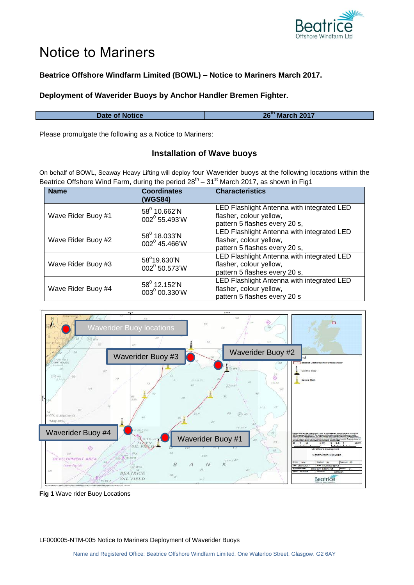

# Notice to Mariners

# **Beatrice Offshore Windfarm Limited (BOWL) – Notice to Mariners March 2017.**

### **Deployment of Waverider Buoys by Anchor Handler Bremen Fighter.**

**Date of Notice th March 2017**

Please promulgate the following as a Notice to Mariners:

## **Installation of Wave buoys**

On behalf of BOWL, Seaway Heavy Lifting will deploy four Waverider buoys at the following locations within the Beatrice Offshore Wind Farm, during the period  $28^{th}$  –  $31^{st}$  March 2017, as shown in Fig1

| <b>Name</b>        | <b>Coordinates</b><br>(WGS84)                      | <b>Characteristics</b>                                                                                 |
|--------------------|----------------------------------------------------|--------------------------------------------------------------------------------------------------------|
| Wave Rider Buoy #1 | $58^0$ 10.662'N<br>002 <sup>0</sup> 55.493'W       | LED Flashlight Antenna with integrated LED<br>flasher, colour yellow,<br>pattern 5 flashes every 20 s, |
| Wave Rider Buoy #2 | $58^{\circ}$ 18.033'N<br>002 <sup>0</sup> 45.466'W | LED Flashlight Antenna with integrated LED<br>flasher, colour yellow,<br>pattern 5 flashes every 20 s, |
| Wave Rider Buoy #3 | 58°19.630'N<br>002 <sup>0</sup> 50.573'W           | LED Flashlight Antenna with integrated LED<br>flasher, colour yellow,<br>pattern 5 flashes every 20 s, |
| Wave Rider Buoy #4 | $58^{\circ}$ 12.152'N<br>003º 00.330'W             | LED Flashlight Antenna with integrated LED<br>flasher, colour yellow,<br>pattern 5 flashes every 20 s  |



**Fig 1** Wave rider Buoy Locations

LF000005-NTM-005 Notice to Mariners Deployment of Waverider Buoys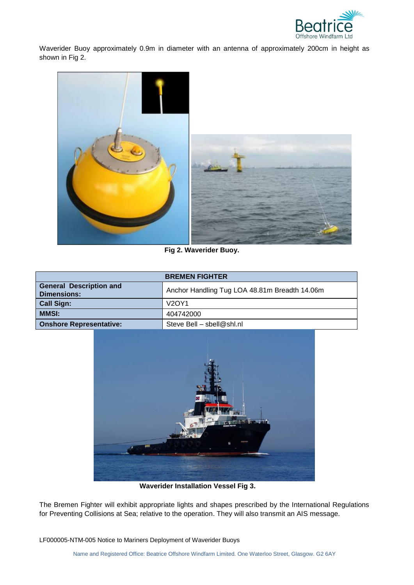

Waverider Buoy approximately 0.9m in diameter with an antenna of approximately 200cm in height as shown in Fig 2.



**Fig 2. Waverider Buoy.**

| <b>BREMEN FIGHTER</b>                                |                                               |  |
|------------------------------------------------------|-----------------------------------------------|--|
| <b>General Description and</b><br><b>Dimensions:</b> | Anchor Handling Tug LOA 48.81m Breadth 14.06m |  |
| <b>Call Sign:</b>                                    | <b>V2OY1</b>                                  |  |
| <b>MMSI:</b>                                         | 404742000                                     |  |
| <b>Onshore Representative:</b>                       | Steve Bell - sbell@shl.nl                     |  |



**Waverider Installation Vessel Fig 3.**

The Bremen Fighter will exhibit appropriate lights and shapes prescribed by the International Regulations for Preventing Collisions at Sea; relative to the operation. They will also transmit an AIS message.

LF000005-NTM-005 Notice to Mariners Deployment of Waverider Buoys